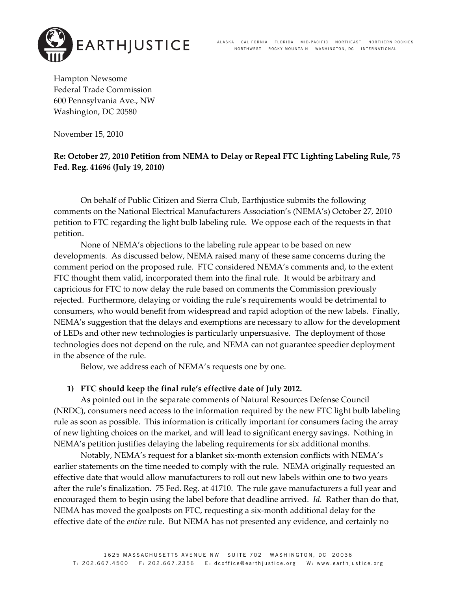

ALASKA CALIFORNIA FLORIDA MID-PACIFIC NORTHEAST NORTHERN ROCKIES NORTHWEST ROCKY MOUNTAIN WASHINGTON, DC INTERNATIONAL

Hampton Newsome Federal Trade Commission 600 Pennsylvania Ave., NW Washington, DC 20580

November 15, 2010

## **Re: October 27, 2010 Petition from NEMA to Delay or Repeal FTC Lighting Labeling Rule, 75 Fed. Reg. 41696 (July 19, 2010)**

On behalf of Public Citizen and Sierra Club, Earthjustice submits the following comments on the National Electrical Manufacturers Association's (NEMA's) October 27, 2010 petition to FTC regarding the light bulb labeling rule. We oppose each of the requests in that petition.

None of NEMA's objections to the labeling rule appear to be based on new developments. As discussed below, NEMA raised many of these same concerns during the comment period on the proposed rule. FTC considered NEMA's comments and, to the extent FTC thought them valid, incorporated them into the final rule. It would be arbitrary and capricious for FTC to now delay the rule based on comments the Commission previously rejected. Furthermore, delaying or voiding the rule's requirements would be detrimental to consumers, who would benefit from widespread and rapid adoption of the new labels. Finally, NEMA's suggestion that the delays and exemptions are necessary to allow for the development of LEDs and other new technologies is particularly unpersuasive. The deployment of those technologies does not depend on the rule, and NEMA can not guarantee speedier deployment in the absence of the rule.

Below, we address each of NEMA's requests one by one.

## **1) FTC should keep the final rule's effective date of July 2012.**

As pointed out in the separate comments of Natural Resources Defense Council (NRDC), consumers need access to the information required by the new FTC light bulb labeling rule as soon as possible. This information is critically important for consumers facing the array of new lighting choices on the market, and will lead to significant energy savings. Nothing in NEMA's petition justifies delaying the labeling requirements for six additional months.

Notably, NEMA's request for a blanket six‐month extension conflicts with NEMA's earlier statements on the time needed to comply with the rule. NEMA originally requested an effective date that would allow manufacturers to roll out new labels within one to two years after the rule's finalization. 75 Fed. Reg. at 41710. The rule gave manufacturers a full year and encouraged them to begin using the label before that deadline arrived. *Id.* Rather than do that, NEMA has moved the goalposts on FTC, requesting a six‐month additional delay for the effective date of the *entire* rule. But NEMA has not presented any evidence, and certainly no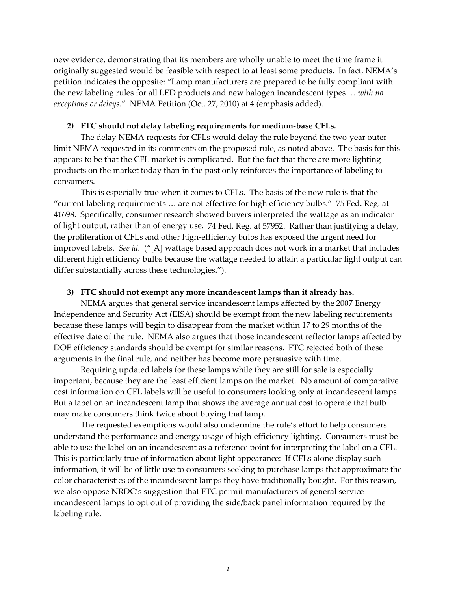new evidence, demonstrating that its members are wholly unable to meet the time frame it originally suggested would be feasible with respect to at least some products. In fact, NEMA's petition indicates the opposite: "Lamp manufacturers are prepared to be fully compliant with the new labeling rules for all LED products and new halogen incandescent types … *with no exceptions or delays*." NEMA Petition (Oct. 27, 2010) at 4 (emphasis added).

## **2) FTC should not delay labeling requirements for medium‐base CFLs.**

The delay NEMA requests for CFLs would delay the rule beyond the two-year outer limit NEMA requested in its comments on the proposed rule, as noted above. The basis for this appears to be that the CFL market is complicated. But the fact that there are more lighting products on the market today than in the past only reinforces the importance of labeling to consumers.

This is especially true when it comes to CFLs. The basis of the new rule is that the "current labeling requirements … are not effective for high efficiency bulbs." 75 Fed. Reg. at 41698. Specifically, consumer research showed buyers interpreted the wattage as an indicator of light output, rather than of energy use. 74 Fed. Reg. at 57952. Rather than justifying a delay, the proliferation of CFLs and other high‐efficiency bulbs has exposed the urgent need for improved labels. *See id.* ("[A] wattage based approach does not work in a market that includes different high efficiency bulbs because the wattage needed to attain a particular light output can differ substantially across these technologies.").

## **3) FTC should not exempt any more incandescent lamps than it already has.**

NEMA argues that general service incandescent lamps affected by the 2007 Energy Independence and Security Act (EISA) should be exempt from the new labeling requirements because these lamps will begin to disappear from the market within 17 to 29 months of the effective date of the rule. NEMA also argues that those incandescent reflector lamps affected by DOE efficiency standards should be exempt for similar reasons. FTC rejected both of these arguments in the final rule, and neither has become more persuasive with time.

Requiring updated labels for these lamps while they are still for sale is especially important, because they are the least efficient lamps on the market. No amount of comparative cost information on CFL labels will be useful to consumers looking only at incandescent lamps. But a label on an incandescent lamp that shows the average annual cost to operate that bulb may make consumers think twice about buying that lamp.

The requested exemptions would also undermine the rule's effort to help consumers understand the performance and energy usage of high‐efficiency lighting. Consumers must be able to use the label on an incandescent as a reference point for interpreting the label on a CFL. This is particularly true of information about light appearance: If CFLs alone display such information, it will be of little use to consumers seeking to purchase lamps that approximate the color characteristics of the incandescent lamps they have traditionally bought. For this reason, we also oppose NRDC's suggestion that FTC permit manufacturers of general service incandescent lamps to opt out of providing the side/back panel information required by the labeling rule.